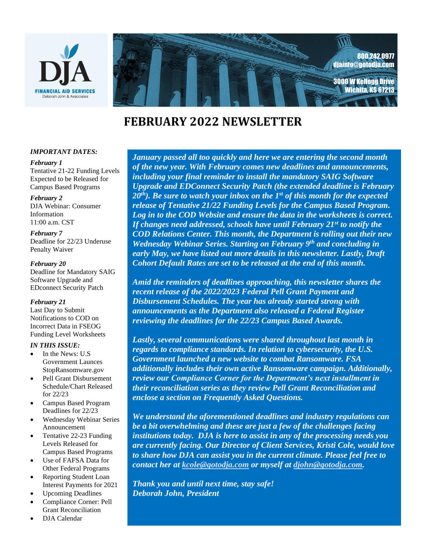



# **FEBRUARY 2022 NEWSLETTER**

#### *IMPORTANT DATES:*

#### *February 1*

Tentative 21-22 Funding Levels Expected to be Released for Campus Based Programs

#### *February 2*

DJA Webinar: Consumer Information 11:00 a.m. CST

*February 7* Deadline for 22/23 Underuse Penalty Waiver

#### *February 20*

Deadline for Mandatory SAIG Software Upgrade and EDconnect Security Patch

#### *February 21*

Last Day to Submit Notifications to COD on Incorrect Data in FSEOG Funding Level Worksheets

#### *IN THIS ISSUE:*

- In the News: U.S. Government Launces StopRansomware.gov
- Pell Grant Disbursement Schedule/Chart Released for 22/23
- Campus Based Program Deadlines for 22/23
- Wednesday Webinar Series Announcement
- Tentative 22-23 Funding Levels Released for Campus Based Programs
- Use of FAFSA Data for Other Federal Programs
- Reporting Student Loan Interest Payments for 2021
- Upcoming Deadlines
- Compliance Corner: Pell Grant Reconciliation
- DJA Calendar

*January passed all too quickly and here we are entering the second month of the new year. With February comes new deadlines and announcements, including your final reminder to install the mandatory SAIG Software Upgrade and EDConnect Security Patch (the extended deadline is February 20th). Be sure to watch your inbox on the 1st of this month for the expected release of Tentative 21/22 Funding Levels for the Campus Based Program. Log in to the COD Website and ensure the data in the worksheets is correct. If changes need addressed, schools have until February 21st to notify the COD Relations Center. This month, the Department is rolling out their new Wednesday Webinar Series. Starting on February 9th and concluding in early May, we have listed out more details in this newsletter. Lastly, Draft Cohort Default Rates are set to be released at the end of this month.* 

*Amid the reminders of deadlines approaching, this newsletter shares the recent release of the 2022/2023 Federal Pell Grant Payment and Disbursement Schedules. The year has already started strong with announcements as the Department also released a Federal Register reviewing the deadlines for the 22/23 Campus Based Awards.* 

*Lastly, several communications were shared throughout last month in regards to compliance standards. In relation to cybersecurity, the U.S. Government launched a new website to combat Ransomware. FSA additionally includes their own active Ransomware campaign. Additionally, review our Compliance Corner for the Department's next installment in their reconciliation series as they review Pell Grant Reconciliation and enclose a section on Frequently Asked Questions.* 

*We understand the aforementioned deadlines and industry regulations can be a bit overwhelming and these are just a few of the challenges facing institutions today. DJA is here to assist in any of the processing needs you are currently facing. Our Director of Client Services, Kristi Cole, would love to share how DJA can assist you in the current climate. Please feel free to contact her at [kcole@gotodja.com](mailto:kcole@gotodja.com) or myself at [djohn@gotodja.com.](mailto:djohn@gotodja.com)*

*Thank you and until next time, stay safe! Deborah John, President*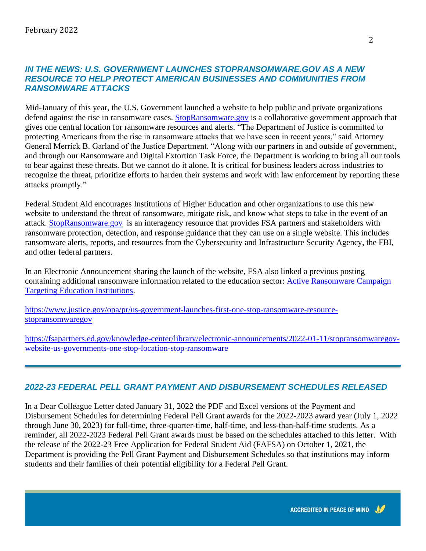## *IN THE NEWS: U.S. GOVERNMENT LAUNCHES STOPRANSOMWARE.GOV AS A NEW RESOURCE TO HELP PROTECT AMERICAN BUSINESSES AND COMMUNITIES FROM RANSOMWARE ATTACKS*

Mid-January of this year, the U.S. Government launched a website to help public and private organizations defend against the rise in ransomware cases. [StopRansomware.gov](http://stopransomware.gov/) is a collaborative government approach that gives one central location for ransomware resources and alerts. "The Department of Justice is committed to protecting Americans from the rise in ransomware attacks that we have seen in recent years," said Attorney General Merrick B. Garland of the Justice Department. "Along with our partners in and outside of government, and through our Ransomware and Digital Extortion Task Force, the Department is working to bring all our tools to bear against these threats. But we cannot do it alone. It is critical for business leaders across industries to recognize the threat, prioritize efforts to harden their systems and work with law enforcement by reporting these attacks promptly."

Federal Student Aid encourages Institutions of Higher Education and other organizations to use this new website to understand the threat of ransomware, mitigate risk, and know what steps to take in the event of an attack. [StopRansomware.gov](http://stopransomware.gov/) is an interagency resource that provides FSA partners and stakeholders with ransomware protection, detection, and response guidance that they can use on a single website. This includes ransomware alerts, reports, and resources from the Cybersecurity and Infrastructure Security Agency, the FBI, and other federal partners.

In an Electronic Announcement sharing the launch of the website, FSA also linked a previous posting containing additional ransomware information related to the education sector: [Active Ransomware Campaign](https://fsapartners.ed.gov/knowledge-center/library/electronic-announcements/2020-09-01/technology-security-alert-active-ransomware-campaign-targeting-education-institutions)  [Targeting Education Institutions.](https://fsapartners.ed.gov/knowledge-center/library/electronic-announcements/2020-09-01/technology-security-alert-active-ransomware-campaign-targeting-education-institutions)

[https://www.justice.gov/opa/pr/us-government-launches-first-one-stop-ransomware-resource](https://www.justice.gov/opa/pr/us-government-launches-first-one-stop-ransomware-resource-stopransomwaregov)[stopransomwaregov](https://www.justice.gov/opa/pr/us-government-launches-first-one-stop-ransomware-resource-stopransomwaregov)

[https://fsapartners.ed.gov/knowledge-center/library/electronic-announcements/2022-01-11/stopransomwaregov](https://fsapartners.ed.gov/knowledge-center/library/electronic-announcements/2022-01-11/stopransomwaregov-website-us-governments-one-stop-location-stop-ransomware)[website-us-governments-one-stop-location-stop-ransomware](https://fsapartners.ed.gov/knowledge-center/library/electronic-announcements/2022-01-11/stopransomwaregov-website-us-governments-one-stop-location-stop-ransomware)

## *2022-23 FEDERAL PELL GRANT PAYMENT AND DISBURSEMENT SCHEDULES RELEASED*

In a Dear Colleague Letter dated January 31, 2022 the PDF and Excel versions of the Payment and Disbursement Schedules for determining Federal Pell Grant awards for the 2022-2023 award year (July 1, 2022 through June 30, 2023) for full-time, three-quarter-time, half-time, and less-than-half-time students. As a reminder, all 2022-2023 Federal Pell Grant awards must be based on the schedules attached to this letter. With the release of the 2022-23 Free Application for Federal Student Aid (FAFSA) on October 1, 2021, the Department is providing the Pell Grant Payment and Disbursement Schedules so that institutions may inform students and their families of their potential eligibility for a Federal Pell Grant.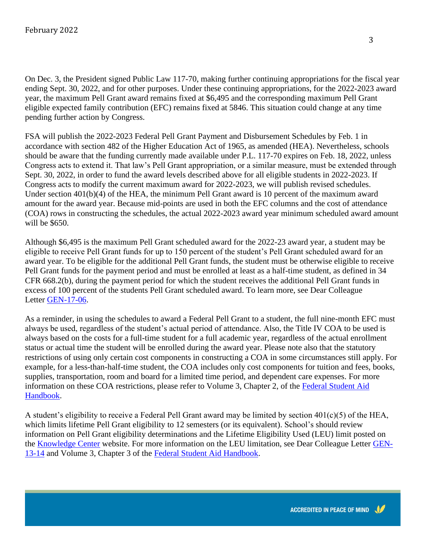On Dec. 3, the President signed Public Law 117-70, making further continuing appropriations for the fiscal year ending Sept. 30, 2022, and for other purposes. Under these continuing appropriations, for the 2022-2023 award year, the maximum Pell Grant award remains fixed at \$6,495 and the corresponding maximum Pell Grant eligible expected family contribution (EFC) remains fixed at 5846. This situation could change at any time pending further action by Congress.

FSA will publish the 2022-2023 Federal Pell Grant Payment and Disbursement Schedules by Feb. 1 in accordance with section 482 of the Higher Education Act of 1965, as amended (HEA). Nevertheless, schools should be aware that the funding currently made available under P.L. 117-70 expires on Feb. 18, 2022, unless Congress acts to extend it. That law's Pell Grant appropriation, or a similar measure, must be extended through Sept. 30, 2022, in order to fund the award levels described above for all eligible students in 2022-2023. If Congress acts to modify the current maximum award for 2022-2023, we will publish revised schedules. Under section 401(b)(4) of the HEA, the minimum Pell Grant award is 10 percent of the maximum award amount for the award year. Because mid-points are used in both the EFC columns and the cost of attendance (COA) rows in constructing the schedules, the actual 2022-2023 award year minimum scheduled award amount will be \$650.

Although \$6,495 is the maximum Pell Grant scheduled award for the 2022-23 award year, a student may be eligible to receive Pell Grant funds for up to 150 percent of the student's Pell Grant scheduled award for an award year. To be eligible for the additional Pell Grant funds, the student must be otherwise eligible to receive Pell Grant funds for the payment period and must be enrolled at least as a half-time student, as defined in 34 CFR 668.2(b), during the payment period for which the student receives the additional Pell Grant funds in excess of 100 percent of the students Pell Grant scheduled award. To learn more, see Dear Colleague Letter [GEN-17-06.](https://fsapartners.ed.gov/knowledge-center/library/dear-colleague-letters/2017-06-19/gen-17-06-subject-implementation-year-round-pell-grants)

As a reminder, in using the schedules to award a Federal Pell Grant to a student, the full nine-month EFC must always be used, regardless of the student's actual period of attendance. Also, the Title IV COA to be used is always based on the costs for a full-time student for a full academic year, regardless of the actual enrollment status or actual time the student will be enrolled during the award year. Please note also that the statutory restrictions of using only certain cost components in constructing a COA in some circumstances still apply. For example, for a less-than-half-time student, the COA includes only cost components for tuition and fees, books, supplies, transportation, room and board for a limited time period, and dependent care expenses. For more information on these COA restrictions, please refer to Volume 3, Chapter 2, of the [Federal Student Aid](https://fsapartners.ed.gov/knowledge-center/fsa-handbook)  [Handbook.](https://fsapartners.ed.gov/knowledge-center/fsa-handbook)

A student's eligibility to receive a Federal Pell Grant award may be limited by section 401(c)(5) of the HEA, which limits lifetime Pell Grant eligibility to 12 semesters (or its equivalent). School's should review information on Pell Grant eligibility determinations and the Lifetime Eligibility Used (LEU) limit posted on the [Knowledge Center](https://fsapartners.ed.gov/knowledge-center) website. For more information on the LEU limitation, see Dear Colleague Letter [GEN-](https://fsapartners.ed.gov/knowledge-center/library/dear-colleague-letters/2013-05-16/gen-13-14-subject-federal-pell-grant-duration-eligibility-and-lifetime-eligibility-used)[13-14](https://fsapartners.ed.gov/knowledge-center/library/dear-colleague-letters/2013-05-16/gen-13-14-subject-federal-pell-grant-duration-eligibility-and-lifetime-eligibility-used) and Volume 3, Chapter 3 of the [Federal Student Aid Handbook.](https://fsapartners.ed.gov/knowledge-center/fsa-handbook)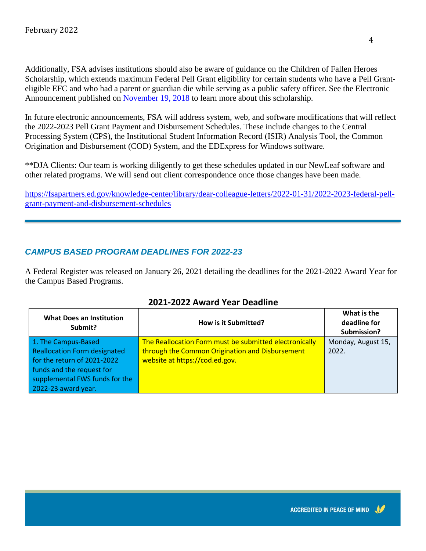Additionally, FSA advises institutions should also be aware of guidance on the Children of Fallen Heroes Scholarship, which extends maximum Federal Pell Grant eligibility for certain students who have a Pell Granteligible EFC and who had a parent or guardian die while serving as a public safety officer. See the Electronic Announcement published on [November 19, 2018](https://fsapartners.ed.gov/knowledge-center/library/electronic-announcements/2018-11-19/general-subject-children-fallen-heroes-scholarship-act) to learn more about this scholarship.

In future electronic announcements, FSA will address system, web, and software modifications that will reflect the 2022-2023 Pell Grant Payment and Disbursement Schedules. These include changes to the Central Processing System (CPS), the Institutional Student Information Record (ISIR) Analysis Tool, the Common Origination and Disbursement (COD) System, and the EDExpress for Windows software.

\*\*DJA Clients: Our team is working diligently to get these schedules updated in our NewLeaf software and other related programs. We will send out client correspondence once those changes have been made.

[https://fsapartners.ed.gov/knowledge-center/library/dear-colleague-letters/2022-01-31/2022-2023-federal-pell](https://fsapartners.ed.gov/knowledge-center/library/dear-colleague-letters/2022-01-31/2022-2023-federal-pell-grant-payment-and-disbursement-schedules)[grant-payment-and-disbursement-schedules](https://fsapartners.ed.gov/knowledge-center/library/dear-colleague-letters/2022-01-31/2022-2023-federal-pell-grant-payment-and-disbursement-schedules)

## *CAMPUS BASED PROGRAM DEADLINES FOR 2022-23*

A Federal Register was released on January 26, 2021 detailing the deadlines for the 2021-2022 Award Year for the Campus Based Programs.

| <b>What Does an Institution</b><br>Submit?                                                                                                                                      | How is it Submitted?                                                                                                                        | What is the<br>deadline for<br>Submission? |
|---------------------------------------------------------------------------------------------------------------------------------------------------------------------------------|---------------------------------------------------------------------------------------------------------------------------------------------|--------------------------------------------|
| 1. The Campus-Based<br><b>Reallocation Form designated</b><br>for the return of 2021-2022<br>funds and the request for<br>supplemental FWS funds for the<br>2022-23 award year. | The Reallocation Form must be submitted electronically<br>through the Common Origination and Disbursement<br>website at https://cod.ed.gov. | Monday, August 15,<br>2022.                |

#### **2021-2022 Award Year Deadline**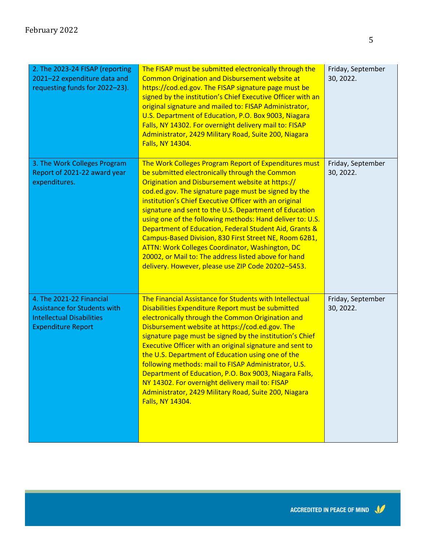| 2. The 2023-24 FISAP (reporting<br>2021-22 expenditure data and<br>requesting funds for 2022-23).                                | The FISAP must be submitted electronically through the<br><b>Common Origination and Disbursement website at</b><br>https://cod.ed.gov. The FISAP signature page must be<br>signed by the institution's Chief Executive Officer with an<br>original signature and mailed to: FISAP Administrator,<br>U.S. Department of Education, P.O. Box 9003, Niagara<br>Falls, NY 14302. For overnight delivery mail to: FISAP<br>Administrator, 2429 Military Road, Suite 200, Niagara<br>Falls, NY 14304.                                                                                                                                                                                                  | Friday, September<br>30, 2022. |
|----------------------------------------------------------------------------------------------------------------------------------|--------------------------------------------------------------------------------------------------------------------------------------------------------------------------------------------------------------------------------------------------------------------------------------------------------------------------------------------------------------------------------------------------------------------------------------------------------------------------------------------------------------------------------------------------------------------------------------------------------------------------------------------------------------------------------------------------|--------------------------------|
| 3. The Work Colleges Program<br>Report of 2021-22 award year<br>expenditures.                                                    | The Work Colleges Program Report of Expenditures must<br>be submitted electronically through the Common<br>Origination and Disbursement website at https://<br>cod.ed.gov. The signature page must be signed by the<br>institution's Chief Executive Officer with an original<br>signature and sent to the U.S. Department of Education<br>using one of the following methods: Hand deliver to: U.S.<br>Department of Education, Federal Student Aid, Grants &<br>Campus-Based Division, 830 First Street NE, Room 62B1,<br><b>ATTN: Work Colleges Coordinator, Washington, DC</b><br>20002, or Mail to: The address listed above for hand<br>delivery. However, please use ZIP Code 20202-5453. | Friday, September<br>30, 2022. |
| 4. The 2021-22 Financial<br><b>Assistance for Students with</b><br><b>Intellectual Disabilities</b><br><b>Expenditure Report</b> | The Financial Assistance for Students with Intellectual<br>Disabilities Expenditure Report must be submitted<br>electronically through the Common Origination and<br>Disbursement website at https://cod.ed.gov. The<br>signature page must be signed by the institution's Chief<br>Executive Officer with an original signature and sent to<br>the U.S. Department of Education using one of the<br>following methods: mail to FISAP Administrator, U.S.<br>Department of Education, P.O. Box 9003, Niagara Falls,<br>NY 14302. For overnight delivery mail to: FISAP<br>Administrator, 2429 Military Road, Suite 200, Niagara<br>Falls, NY 14304.                                              | Friday, September<br>30, 2022. |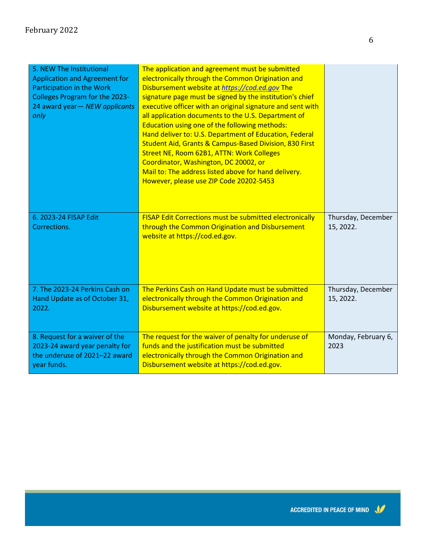| 5. NEW The Institutional<br><b>Application and Agreement for</b><br>Participation in the Work<br>Colleges Program for the 2023-<br>24 award year - NEW applicants<br>only | The application and agreement must be submitted<br>electronically through the Common Origination and<br>Disbursement website at https://cod.ed.gov The<br>signature page must be signed by the institution's chief<br>executive officer with an original signature and sent with<br>all application documents to the U.S. Department of<br>Education using one of the following methods:<br>Hand deliver to: U.S. Department of Education, Federal<br><b>Student Aid, Grants &amp; Campus-Based Division, 830 First</b><br>Street NE, Room 62B1, ATTN: Work Colleges<br>Coordinator, Washington, DC 20002, or<br>Mail to: The address listed above for hand delivery.<br>However, please use ZIP Code 20202-5453 |                                 |
|---------------------------------------------------------------------------------------------------------------------------------------------------------------------------|------------------------------------------------------------------------------------------------------------------------------------------------------------------------------------------------------------------------------------------------------------------------------------------------------------------------------------------------------------------------------------------------------------------------------------------------------------------------------------------------------------------------------------------------------------------------------------------------------------------------------------------------------------------------------------------------------------------|---------------------------------|
| 6. 2023-24 FISAP Edit<br>Corrections.                                                                                                                                     | <b>FISAP Edit Corrections must be submitted electronically</b><br>through the Common Origination and Disbursement<br>website at https://cod.ed.gov.                                                                                                                                                                                                                                                                                                                                                                                                                                                                                                                                                              | Thursday, December<br>15, 2022. |
| 7. The 2023-24 Perkins Cash on<br>Hand Update as of October 31,<br>2022.                                                                                                  | The Perkins Cash on Hand Update must be submitted<br>electronically through the Common Origination and<br>Disbursement website at https://cod.ed.gov.                                                                                                                                                                                                                                                                                                                                                                                                                                                                                                                                                            | Thursday, December<br>15, 2022. |
| 8. Request for a waiver of the<br>2023-24 award year penalty for<br>the underuse of 2021-22 award<br>year funds.                                                          | The request for the waiver of penalty for underuse of<br>funds and the justification must be submitted<br>electronically through the Common Origination and<br>Disbursement website at https://cod.ed.gov.                                                                                                                                                                                                                                                                                                                                                                                                                                                                                                       | Monday, February 6,<br>2023     |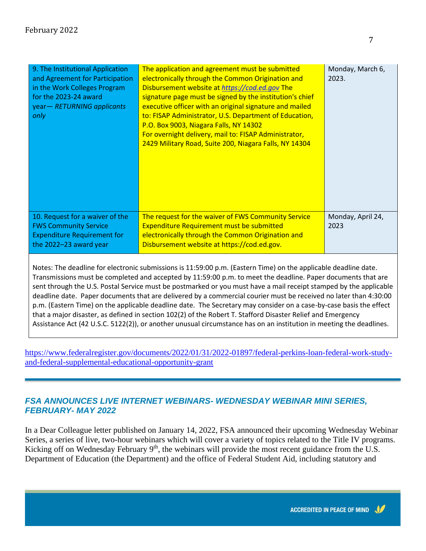| 9. The Institutional Application<br>and Agreement for Participation<br>in the Work Colleges Program<br>for the 2023-24 award<br>year-RETURNING applicants<br>only | The application and agreement must be submitted<br>electronically through the Common Origination and<br>Disbursement website at https://cod.ed.gov The<br>signature page must be signed by the institution's chief<br>executive officer with an original signature and mailed<br>to: FISAP Administrator, U.S. Department of Education,<br>P.O. Box 9003, Niagara Falls, NY 14302<br>For overnight delivery, mail to: FISAP Administrator,<br>2429 Military Road, Suite 200, Niagara Falls, NY 14304 | Monday, March 6,<br>2023. |
|-------------------------------------------------------------------------------------------------------------------------------------------------------------------|------------------------------------------------------------------------------------------------------------------------------------------------------------------------------------------------------------------------------------------------------------------------------------------------------------------------------------------------------------------------------------------------------------------------------------------------------------------------------------------------------|---------------------------|
| 10. Request for a waiver of the<br><b>FWS Community Service</b><br><b>Expenditure Requirement for</b><br>the 2022-23 award year                                   | The request for the waiver of FWS Community Service<br><b>Expenditure Requirement must be submitted</b><br>electronically through the Common Origination and<br>Disbursement website at https://cod.ed.gov.                                                                                                                                                                                                                                                                                          | Monday, April 24,<br>2023 |

Notes: The deadline for electronic submissions is 11:59:00 p.m. (Eastern Time) on the applicable deadline date. Transmissions must be completed and accepted by 11:59:00 p.m. to meet the deadline. Paper documents that are sent through the U.S. Postal Service must be postmarked or you must have a mail receipt stamped by the applicable deadline date. Paper documents that are delivered by a commercial courier must be received no later than 4:30:00 p.m. (Eastern Time) on the applicable deadline date. The Secretary may consider on a case-by-case basis the effect that a major disaster, as defined in section 102(2) of the Robert T. Stafford Disaster Relief and Emergency Assistance Act (42 U.S.C. 5122(2)), or another unusual circumstance has on an institution in meeting the deadlines.

[https://www.federalregister.gov/documents/2022/01/31/2022-01897/federal-perkins-loan-federal-work-study](https://www.federalregister.gov/documents/2022/01/31/2022-01897/federal-perkins-loan-federal-work-study-and-federal-supplemental-educational-opportunity-grant)[and-federal-supplemental-educational-opportunity-grant](https://www.federalregister.gov/documents/2022/01/31/2022-01897/federal-perkins-loan-federal-work-study-and-federal-supplemental-educational-opportunity-grant)

## *FSA ANNOUNCES LIVE INTERNET WEBINARS- WEDNESDAY WEBINAR MINI SERIES, FEBRUARY- MAY 2022*

In a Dear Colleague letter published on January 14, 2022, FSA announced their upcoming Wednesday Webinar Series, a series of live, two-hour webinars which will cover a variety of topics related to the Title IV programs. Kicking off on Wednesday February 9<sup>th</sup>, the webinars will provide the most recent guidance from the U.S. Department of Education (the Department) and the office of Federal Student Aid, including statutory and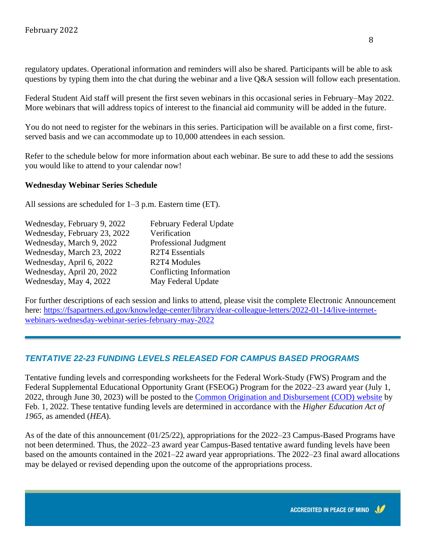regulatory updates. Operational information and reminders will also be shared. Participants will be able to ask questions by typing them into the chat during the webinar and a live Q&A session will follow each presentation.

Federal Student Aid staff will present the first seven webinars in this occasional series in February–May 2022. More webinars that will address topics of interest to the financial aid community will be added in the future.

You do not need to register for the webinars in this series. Participation will be available on a first come, firstserved basis and we can accommodate up to 10,000 attendees in each session.

Refer to the schedule below for more information about each webinar. Be sure to add these to add the sessions you would like to attend to your calendar now!

#### **Wednesday Webinar Series Schedule**

All sessions are scheduled for 1–3 p.m. Eastern time (ET).

| Wednesday, February 9, 2022  | February Federal Update                  |
|------------------------------|------------------------------------------|
| Wednesday, February 23, 2022 | Verification                             |
| Wednesday, March 9, 2022     | Professional Judgment                    |
| Wednesday, March 23, 2022    | R <sub>2</sub> T <sub>4</sub> Essentials |
| Wednesday, April 6, 2022     | R2T4 Modules                             |
| Wednesday, April 20, 2022    | Conflicting Information                  |
| Wednesday, May 4, 2022       | May Federal Update                       |

For further descriptions of each session and links to attend, please visit the complete Electronic Announcement here: [https://fsapartners.ed.gov/knowledge-center/library/dear-colleague-letters/2022-01-14/live-internet](https://fsapartners.ed.gov/knowledge-center/library/dear-colleague-letters/2022-01-14/live-internet-webinars-wednesday-webinar-series-february-may-2022)[webinars-wednesday-webinar-series-february-may-2022](https://fsapartners.ed.gov/knowledge-center/library/dear-colleague-letters/2022-01-14/live-internet-webinars-wednesday-webinar-series-february-may-2022)

## *TENTATIVE 22-23 FUNDING LEVELS RELEASED FOR CAMPUS BASED PROGRAMS*

Tentative funding levels and corresponding worksheets for the Federal Work-Study (FWS) Program and the Federal Supplemental Educational Opportunity Grant (FSEOG) Program for the 2022–23 award year (July 1, 2022, through June 30, 2023) will be posted to the [Common Origination and Disbursement \(COD\) website](https://cod.ed.gov/cod/LoginPage) by Feb. 1, 2022. These tentative funding levels are determined in accordance with the *Higher Education Act of 1965*, as amended (*HEA*).

As of the date of this announcement (01/25/22), appropriations for the 2022–23 Campus-Based Programs have not been determined. Thus, the 2022–23 award year Campus-Based tentative award funding levels have been based on the amounts contained in the 2021–22 award year appropriations. The 2022–23 final award allocations may be delayed or revised depending upon the outcome of the appropriations process.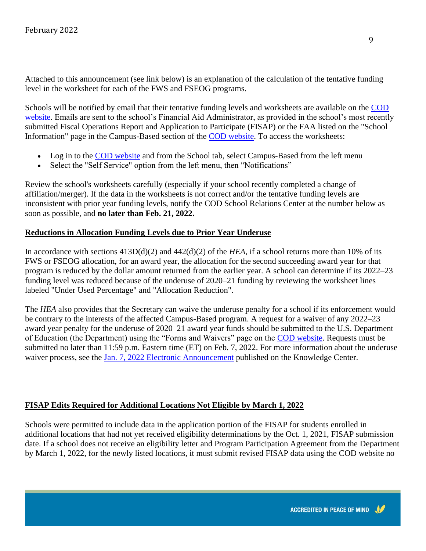Attached to this announcement (see link below) is an explanation of the calculation of the tentative funding level in the worksheet for each of the FWS and FSEOG programs.

Schools will be notified by email that their tentative funding levels and worksheets are available on the [COD](https://cod.ed.gov/)  [website.](https://cod.ed.gov/) Emails are sent to the school's Financial Aid Administrator, as provided in the school's most recently submitted Fiscal Operations Report and Application to Participate (FISAP) or the FAA listed on the "School Information" page in the Campus-Based section of the [COD website.](https://cod.ed.gov/) To access the worksheets:

- Log in to the [COD website](https://cod.ed.gov/) and from the School tab, select Campus-Based from the left menu
- Select the "Self Service" option from the left menu, then "Notifications"

Review the school's worksheets carefully (especially if your school recently completed a change of affiliation/merger). If the data in the worksheets is not correct and/or the tentative funding levels are inconsistent with prior year funding levels, notify the COD School Relations Center at the number below as soon as possible, and **no later than Feb. 21, 2022.**

#### **Reductions in Allocation Funding Levels due to Prior Year Underuse**

In accordance with sections 413D(d)(2) and 442(d)(2) of the *HEA*, if a school returns more than 10% of its FWS or FSEOG allocation, for an award year, the allocation for the second succeeding award year for that program is reduced by the dollar amount returned from the earlier year. A school can determine if its 2022–23 funding level was reduced because of the underuse of 2020–21 funding by reviewing the worksheet lines labeled "Under Used Percentage" and "Allocation Reduction".

The *HEA* also provides that the Secretary can waive the underuse penalty for a school if its enforcement would be contrary to the interests of the affected Campus-Based program. A request for a waiver of any 2022–23 award year penalty for the underuse of 2020–21 award year funds should be submitted to the U.S. Department of Education (the Department) using the "Forms and Waivers" page on the [COD website.](https://cod.ed.gov/) Requests must be submitted no later than 11:59 p.m. Eastern time (ET) on Feb. 7, 2022. For more information about the underuse waiver process, see the [Jan. 7, 2022 Electronic Announcement](https://fsapartners.ed.gov/knowledge-center/library/electronic-announcements/2022-01-07/reminder-deadline-2022-23-underuse-penalty-waiver-campus-based-programs-feb-7-2022) published on the Knowledge Center.

#### **FISAP Edits Required for Additional Locations Not Eligible by March 1, 2022**

Schools were permitted to include data in the application portion of the FISAP for students enrolled in additional locations that had not yet received eligibility determinations by the Oct. 1, 2021, FISAP submission date. If a school does not receive an eligibility letter and Program Participation Agreement from the Department by March 1, 2022, for the newly listed locations, it must submit revised FISAP data using the COD website no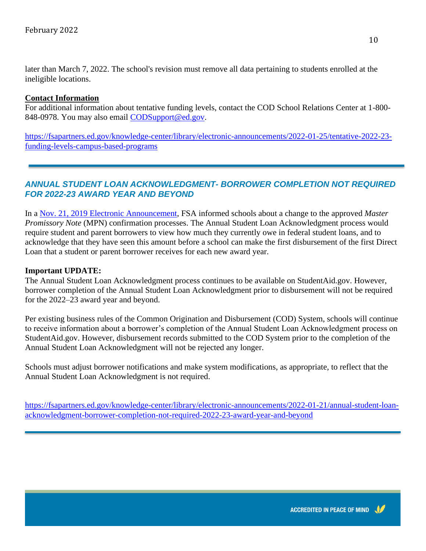later than March 7, 2022. The school's revision must remove all data pertaining to students enrolled at the ineligible locations.

#### **Contact Information**

For additional information about tentative funding levels, contact the COD School Relations Center at 1-800- 848-0978. You may also email [CODSupport@ed.gov.](mailto:CODSupport@ed.gov)

[https://fsapartners.ed.gov/knowledge-center/library/electronic-announcements/2022-01-25/tentative-2022-23](https://fsapartners.ed.gov/knowledge-center/library/electronic-announcements/2022-01-25/tentative-2022-23-funding-levels-campus-based-programs) [funding-levels-campus-based-programs](https://fsapartners.ed.gov/knowledge-center/library/electronic-announcements/2022-01-25/tentative-2022-23-funding-levels-campus-based-programs)

## *ANNUAL STUDENT LOAN ACKNOWLEDGMENT- BORROWER COMPLETION NOT REQUIRED FOR 2022-23 AWARD YEAR AND BEYOND*

In a [Nov. 21, 2019 Electronic Announcement,](https://fsapartners.ed.gov/knowledge-center/library/electronic-announcements/2019-11-21/informed-borrowing-confirmation-modification-approved-master-promissory-note-confirmation-processes-operational-impacts-schools-and-preliminary-cod-system-information) FSA informed schools about a change to the approved *Master Promissory Note* (MPN) confirmation processes. The Annual Student Loan Acknowledgment process would require student and parent borrowers to view how much they currently owe in federal student loans, and to acknowledge that they have seen this amount before a school can make the first disbursement of the first Direct Loan that a student or parent borrower receives for each new award year.

#### **Important UPDATE:**

The Annual Student Loan Acknowledgment process continues to be available on StudentAid.gov. However, borrower completion of the Annual Student Loan Acknowledgment prior to disbursement will not be required for the 2022–23 award year and beyond.

Per existing business rules of the Common Origination and Disbursement (COD) System, schools will continue to receive information about a borrower's completion of the Annual Student Loan Acknowledgment process on StudentAid.gov. However, disbursement records submitted to the COD System prior to the completion of the Annual Student Loan Acknowledgment will not be rejected any longer.

Schools must adjust borrower notifications and make system modifications, as appropriate, to reflect that the Annual Student Loan Acknowledgment is not required.

[https://fsapartners.ed.gov/knowledge-center/library/electronic-announcements/2022-01-21/annual-student-loan](https://fsapartners.ed.gov/knowledge-center/library/electronic-announcements/2022-01-21/annual-student-loan-acknowledgment-borrower-completion-not-required-2022-23-award-year-and-beyond)[acknowledgment-borrower-completion-not-required-2022-23-award-year-and-beyond](https://fsapartners.ed.gov/knowledge-center/library/electronic-announcements/2022-01-21/annual-student-loan-acknowledgment-borrower-completion-not-required-2022-23-award-year-and-beyond)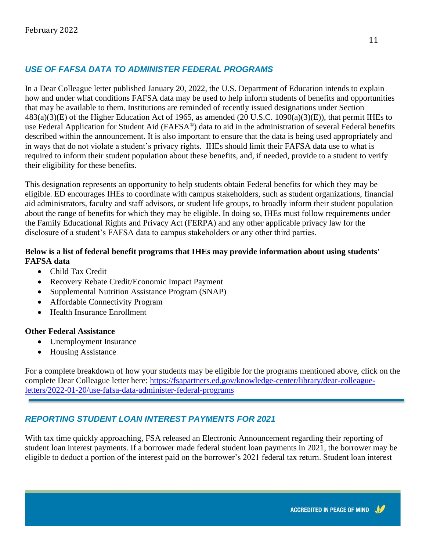## *USE OF FAFSA DATA TO ADMINISTER FEDERAL PROGRAMS*

In a Dear Colleague letter published January 20, 2022, the U.S. Department of Education intends to explain how and under what conditions FAFSA data may be used to help inform students of benefits and opportunities that may be available to them. Institutions are reminded of recently issued designations under Section 483(a)(3)(E) of the Higher Education Act of 1965, as amended (20 U.S.C. 1090(a)(3)(E)), that permit IHEs to use Federal Application for Student Aid (FAFSA®) data to aid in the administration of several Federal benefits described within the announcement. It is also important to ensure that the data is being used appropriately and in ways that do not violate a student's privacy rights. IHEs should limit their FAFSA data use to what is required to inform their student population about these benefits, and, if needed, provide to a student to verify their eligibility for these benefits.

This designation represents an opportunity to help students obtain Federal benefits for which they may be eligible. ED encourages IHEs to coordinate with campus stakeholders, such as student organizations, financial aid administrators, faculty and staff advisors, or student life groups, to broadly inform their student population about the range of benefits for which they may be eligible. In doing so, IHEs must follow requirements under the Family Educational Rights and Privacy Act (FERPA) and any other applicable privacy law for the disclosure of a student's FAFSA data to campus stakeholders or any other third parties.

### **Below is a list of federal benefit programs that IHEs may provide information about using students' FAFSA data**

- Child Tax Credit
- Recovery Rebate Credit/Economic Impact Payment
- Supplemental Nutrition Assistance Program (SNAP)
- Affordable Connectivity Program
- Health Insurance Enrollment

#### **Other Federal Assistance**

- Unemployment Insurance
- Housing Assistance

For a complete breakdown of how your students may be eligible for the programs mentioned above, click on the complete Dear Colleague letter here: [https://fsapartners.ed.gov/knowledge-center/library/dear-colleague](https://fsapartners.ed.gov/knowledge-center/library/dear-colleague-letters/2022-01-20/use-fafsa-data-administer-federal-programs)[letters/2022-01-20/use-fafsa-data-administer-federal-programs](https://fsapartners.ed.gov/knowledge-center/library/dear-colleague-letters/2022-01-20/use-fafsa-data-administer-federal-programs)

## *REPORTING STUDENT LOAN INTEREST PAYMENTS FOR 2021*

With tax time quickly approaching, FSA released an Electronic Announcement regarding their reporting of student loan interest payments. If a borrower made federal student loan payments in 2021, the borrower may be eligible to deduct a portion of the interest paid on the borrower's 2021 federal tax return. Student loan interest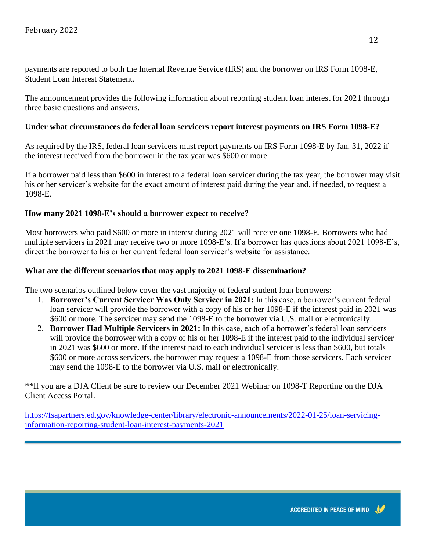payments are reported to both the Internal Revenue Service (IRS) and the borrower on IRS Form 1098-E, Student Loan Interest Statement.

The announcement provides the following information about reporting student loan interest for 2021 through three basic questions and answers.

#### **Under what circumstances do federal loan servicers report interest payments on IRS Form 1098-E?**

As required by the IRS, federal loan servicers must report payments on IRS Form 1098-E by Jan. 31, 2022 if the interest received from the borrower in the tax year was \$600 or more.

If a borrower paid less than \$600 in interest to a federal loan servicer during the tax year, the borrower may visit his or her servicer's website for the exact amount of interest paid during the year and, if needed, to request a 1098-E.

#### **How many 2021 1098-E's should a borrower expect to receive?**

Most borrowers who paid \$600 or more in interest during 2021 will receive one 1098-E. Borrowers who had multiple servicers in 2021 may receive two or more 1098-E's. If a borrower has questions about 2021 1098-E's, direct the borrower to his or her current federal loan servicer's website for assistance.

#### **What are the different scenarios that may apply to 2021 1098-E dissemination?**

The two scenarios outlined below cover the vast majority of federal student loan borrowers:

- 1. **Borrower's Current Servicer Was Only Servicer in 2021:** In this case, a borrower's current federal loan servicer will provide the borrower with a copy of his or her 1098-E if the interest paid in 2021 was \$600 or more. The servicer may send the 1098-E to the borrower via U.S. mail or electronically.
- 2. **Borrower Had Multiple Servicers in 2021:** In this case, each of a borrower's federal loan servicers will provide the borrower with a copy of his or her 1098-E if the interest paid to the individual servicer in 2021 was \$600 or more. If the interest paid to each individual servicer is less than \$600, but totals \$600 or more across servicers, the borrower may request a 1098-E from those servicers. Each servicer may send the 1098-E to the borrower via U.S. mail or electronically.

\*\*If you are a DJA Client be sure to review our December 2021 Webinar on 1098-T Reporting on the DJA Client Access Portal.

[https://fsapartners.ed.gov/knowledge-center/library/electronic-announcements/2022-01-25/loan-servicing](https://fsapartners.ed.gov/knowledge-center/library/electronic-announcements/2022-01-25/loan-servicing-information-reporting-student-loan-interest-payments-2021)[information-reporting-student-loan-interest-payments-2021](https://fsapartners.ed.gov/knowledge-center/library/electronic-announcements/2022-01-25/loan-servicing-information-reporting-student-loan-interest-payments-2021)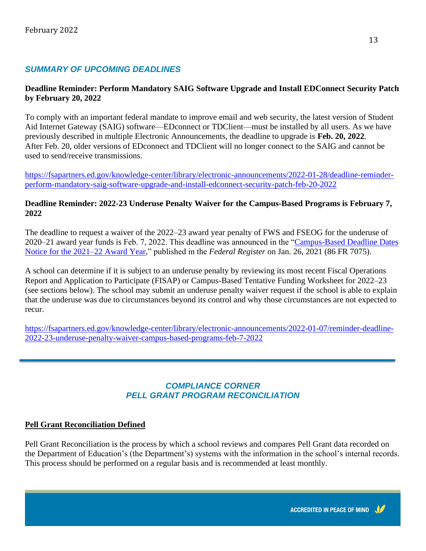## *SUMMARY OF UPCOMING DEADLINES*

#### **Deadline Reminder: Perform Mandatory SAIG Software Upgrade and Install EDConnect Security Patch by February 20, 2022**

To comply with an important federal mandate to improve email and web security, the latest version of Student Aid Internet Gateway (SAIG) software—EDconnect or TDClient—must be installed by all users. As we have previously described in multiple Electronic Announcements, the deadline to upgrade is **Feb. 20, 2022**. After Feb. 20, older versions of EDconnect and TDClient will no longer connect to the SAIG and cannot be used to send/receive transmissions.

[https://fsapartners.ed.gov/knowledge-center/library/electronic-announcements/2022-01-28/deadline-reminder](https://fsapartners.ed.gov/knowledge-center/library/electronic-announcements/2022-01-28/deadline-reminder-perform-mandatory-saig-software-upgrade-and-install-edconnect-security-patch-feb-20-2022)[perform-mandatory-saig-software-upgrade-and-install-edconnect-security-patch-feb-20-2022](https://fsapartners.ed.gov/knowledge-center/library/electronic-announcements/2022-01-28/deadline-reminder-perform-mandatory-saig-software-upgrade-and-install-edconnect-security-patch-feb-20-2022)

#### **Deadline Reminder: 2022-23 Underuse Penalty Waiver for the Campus-Based Programs is February 7, 2022**

The deadline to request a waiver of the 2022–23 award year penalty of FWS and FSEOG for the underuse of 2020–21 award year funds is Feb. 7, 2022. This deadline was announced in the ["Campus-Based Deadline Dates](https://fsapartners.ed.gov/knowledge-center/library/federal-registers/2021-01-26/campus-based-deadline-dates-notice-2021-22-award-year)  [Notice for the 2021–22 Award Year,](https://fsapartners.ed.gov/knowledge-center/library/federal-registers/2021-01-26/campus-based-deadline-dates-notice-2021-22-award-year)" published in the *Federal Register* on Jan. 26, 2021 (86 FR 7075).

A school can determine if it is subject to an underuse penalty by reviewing its most recent Fiscal Operations Report and Application to Participate (FISAP) or Campus-Based Tentative Funding Worksheet for 2022–23 (see sections below). The school may submit an underuse penalty waiver request if the school is able to explain that the underuse was due to circumstances beyond its control and why those circumstances are not expected to recur.

[https://fsapartners.ed.gov/knowledge-center/library/electronic-announcements/2022-01-07/reminder-deadline-](https://fsapartners.ed.gov/knowledge-center/library/electronic-announcements/2022-01-07/reminder-deadline-2022-23-underuse-penalty-waiver-campus-based-programs-feb-7-2022)[2022-23-underuse-penalty-waiver-campus-based-programs-feb-7-2022](https://fsapartners.ed.gov/knowledge-center/library/electronic-announcements/2022-01-07/reminder-deadline-2022-23-underuse-penalty-waiver-campus-based-programs-feb-7-2022)

## *COMPLIANCE CORNER PELL GRANT PROGRAM RECONCILIATION*

#### **Pell Grant Reconciliation Defined**

Pell Grant Reconciliation is the process by which a school reviews and compares Pell Grant data recorded on the Department of Education's (the Department's) systems with the information in the school's internal records. This process should be performed on a regular basis and is recommended at least monthly.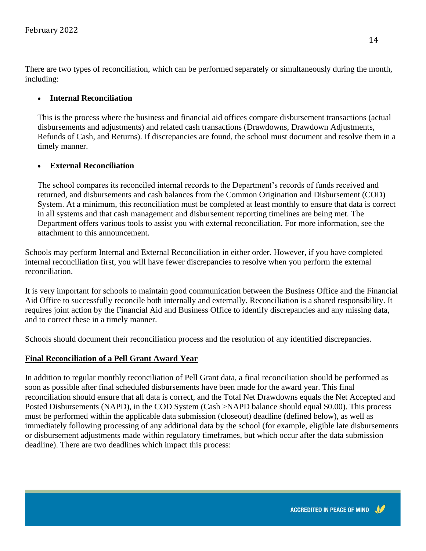There are two types of reconciliation, which can be performed separately or simultaneously during the month, including:

#### • **Internal Reconciliation**

This is the process where the business and financial aid offices compare disbursement transactions (actual disbursements and adjustments) and related cash transactions (Drawdowns, Drawdown Adjustments, Refunds of Cash, and Returns). If discrepancies are found, the school must document and resolve them in a timely manner.

#### • **External Reconciliation**

The school compares its reconciled internal records to the Department's records of funds received and returned, and disbursements and cash balances from the Common Origination and Disbursement (COD) System. At a minimum, this reconciliation must be completed at least monthly to ensure that data is correct in all systems and that cash management and disbursement reporting timelines are being met. The Department offers various tools to assist you with external reconciliation. For more information, see the attachment to this announcement.

Schools may perform Internal and External Reconciliation in either order. However, if you have completed internal reconciliation first, you will have fewer discrepancies to resolve when you perform the external reconciliation.

It is very important for schools to maintain good communication between the Business Office and the Financial Aid Office to successfully reconcile both internally and externally. Reconciliation is a shared responsibility. It requires joint action by the Financial Aid and Business Office to identify discrepancies and any missing data, and to correct these in a timely manner.

Schools should document their reconciliation process and the resolution of any identified discrepancies.

### **Final Reconciliation of a Pell Grant Award Year**

In addition to regular monthly reconciliation of Pell Grant data, a final reconciliation should be performed as soon as possible after final scheduled disbursements have been made for the award year. This final reconciliation should ensure that all data is correct, and the Total Net Drawdowns equals the Net Accepted and Posted Disbursements (NAPD), in the COD System (Cash >NAPD balance should equal \$0.00). This process must be performed within the applicable data submission (closeout) deadline (defined below), as well as immediately following processing of any additional data by the school (for example, eligible late disbursements or disbursement adjustments made within regulatory timeframes, but which occur after the data submission deadline). There are two deadlines which impact this process: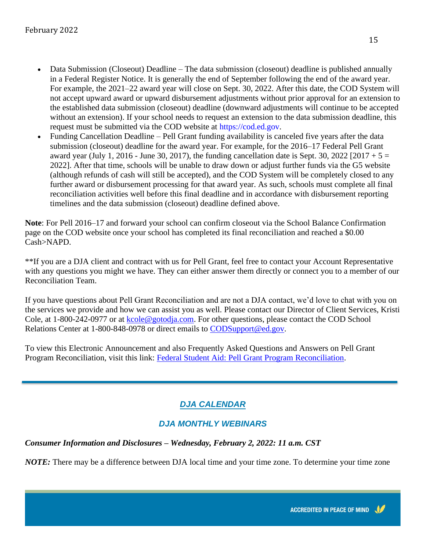- Data Submission (Closeout) Deadline The data submission (closeout) deadline is published annually in a Federal Register Notice. It is generally the end of September following the end of the award year. For example, the 2021–22 award year will close on Sept. 30, 2022. After this date, the COD System will not accept upward award or upward disbursement adjustments without prior approval for an extension to the established data submission (closeout) deadline (downward adjustments will continue to be accepted without an extension). If your school needs to request an extension to the data submission deadline, this request must be submitted via the COD website at [https://cod.ed.gov.](https://cod.ed.gov/)
- Funding Cancellation Deadline Pell Grant funding availability is canceled five years after the data submission (closeout) deadline for the award year. For example, for the 2016–17 Federal Pell Grant award year (July 1, 2016 - June 30, 2017), the funding cancellation date is Sept. 30, 2022 [2017 +  $5 =$ 2022]. After that time, schools will be unable to draw down or adjust further funds via the G5 website (although refunds of cash will still be accepted), and the COD System will be completely closed to any further award or disbursement processing for that award year. As such, schools must complete all final reconciliation activities well before this final deadline and in accordance with disbursement reporting timelines and the data submission (closeout) deadline defined above.

**Note**: For Pell 2016–17 and forward your school can confirm closeout via the School Balance Confirmation page on the COD website once your school has completed its final reconciliation and reached a \$0.00 Cash>NAPD.

\*\*If you are a DJA client and contract with us for Pell Grant, feel free to contact your Account Representative with any questions you might we have. They can either answer them directly or connect you to a member of our Reconciliation Team.

If you have questions about Pell Grant Reconciliation and are not a DJA contact, we'd love to chat with you on the services we provide and how we can assist you as well. Please contact our Director of Client Services, Kristi Cole, at 1-800-242-0977 or at [kcole@gotodja.com.](mailto:kcole@gotodja.com) For other questions, please contact the COD School Relations Center at 1-800-848-0978 or direct emails to [CODSupport@ed.gov.](mailto:CODSupport@ed.gov)

To view this Electronic Announcement and also Frequently Asked Questions and Answers on Pell Grant Program Reconciliation, visit this link: [Federal Student Aid: Pell Grant Program Reconciliation.](https://fsapartners.ed.gov/knowledge-center/library/electronic-announcements/2022-01-28/federal-pell-grant-program-reconciliation)

## *DJA CALENDAR*

## *DJA MONTHLY WEBINARS*

## *Consumer Information and Disclosures – Wednesday, February 2, 2022: 11 a.m. CST*

*NOTE*: There may be a difference between DJA local time and your time zone. To determine your time zone